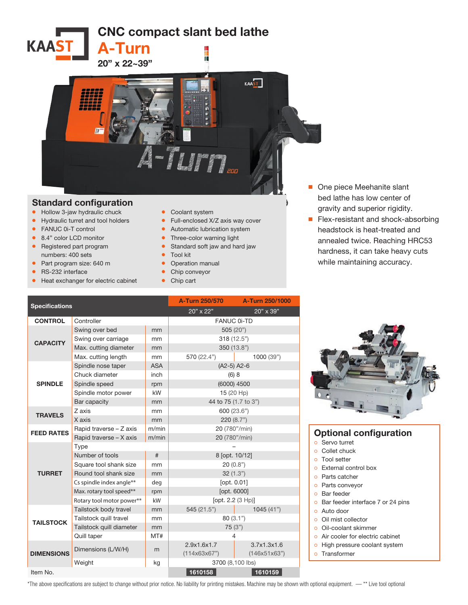CNC compact slant bed lathe



A-Turn

## Standard configuration

- Hollow 3-jaw hydraulic chuck
- Hydraulic turret and tool holders
- FANUC 0i-T control

**KAAST** 

- 8.4" color LCD monitor
- Registered part program numbers: 400 sets
- Part program size: 640 m
- RS-232 interface
- Heat exchanger for electric cabinet
- Coolant system
- Full-enclosed X/Z axis way cover
- Automatic lubrication system
- Three-color warning light
- Standard soft jaw and hard jaw
- Tool kit
- Operation manual
- Chip conveyor
- Chip cart
- One piece Meehanite slant bed lathe has low center of gravity and superior rigidity.
- Flex-resistant and shock-absorbing headstock is heat-treated and annealed twice. Reaching HRC53 hardness, it can take heavy cuts while maintaining accuracy.

| <b>Specifications</b> |                           |            | A-Turn 250/570       | A-Turn 250/1000 |  |
|-----------------------|---------------------------|------------|----------------------|-----------------|--|
|                       |                           |            | 20" x 22"            | 20" x 39"       |  |
| <b>CONTROL</b>        | Controller                |            | <b>FANUC 0i-TD</b>   |                 |  |
| <b>CAPACITY</b>       | Swing over bed            | mm         | 505(20")             |                 |  |
|                       | Swing over carriage       | mm         | 318(12.5")           |                 |  |
|                       | Max. cutting diameter     | mm         | 350 (13.8")          |                 |  |
|                       | Max. cutting length       | mm         | 570 (22.4")          | 1000 (39")      |  |
| <b>SPINDLE</b>        | Spindle nose taper        | <b>ASA</b> | $(A2-5)$ A2-6        |                 |  |
|                       | Chuck diameter            | inch       | (6) 8                |                 |  |
|                       | Spindle speed             | rpm        | (6000) 4500          |                 |  |
|                       | Spindle motor power       | kW         | 15 (20 Hp)           |                 |  |
|                       | Bar capacity              | mm         | 44 to 75 (1.7 to 3") |                 |  |
| <b>TRAVELS</b>        | Z axis                    | mm         |                      | 600 (23.6")     |  |
|                       | X axis                    | mm         | 220(8.7")            |                 |  |
| <b>FEED RATES</b>     | Rapid traverse - Z axis   | m/min      | 20 (780"/min)        |                 |  |
|                       | Rapid traverse - X axis   | m/min      | 20 (780"/min)        |                 |  |
|                       | Type                      |            |                      |                 |  |
|                       | Number of tools           | #          | 8 [opt. 10/12]       |                 |  |
|                       | Square tool shank size    | mm         | 20(0.8")             |                 |  |
| <b>TURRET</b>         | Round tool shank size     | mm         | 32(1.3")             |                 |  |
|                       | Cs spindle index angle**  | deg        | [opt. 0.01]          |                 |  |
|                       | Max. rotary tool speed**  | rpm        | [opt. 6000]          |                 |  |
|                       | Rotary tool motor power** | kW         | [opt. 2.2 (3 Hp)]    |                 |  |
|                       | Tailstock body travel     | mm         | 545 (21.5")          | 1045(41")       |  |
| <b>TAILSTOCK</b>      | Tailstock quill travel    | mm         | 80 (3.1")            |                 |  |
|                       | Tailstock quill diameter  | mm         | 75(3")               |                 |  |
|                       | Quill taper               | MT#        | 4                    |                 |  |
| <b>DIMENSIONS</b>     | Dimensions (L/W/H)        | m          | 2.9x1.6x1.7          | 3.7x1.3x1.6     |  |
|                       |                           |            | (114x63x67")         | (146x51x63")    |  |
|                       | Weight                    | kg         | 3700 (8,100 lbs)     |                 |  |
| Item No.              |                           |            | 1610158              | 1610159         |  |



## Optional configuration

- ੦ Servo turret
- ੦ Collet chuck
- ੦ Tool setter ੦ External control box
- ੦ Parts catcher
- ੦ Parts conveyor
- ੦ Bar feeder
- o Bar feeder interface 7 or 24 pins
- ੦ Auto door
- ੦ Oil mist collector
- ੦ Oil-coolant skimmer
- o Air cooler for electric cabinet
- o High pressure coolant system
- ੦ Transformer

\*The above specifications are subject to change without prior notice. No liability for printing mistakes. Machine may be shown with optional equipment. — \*\* Live tool optional